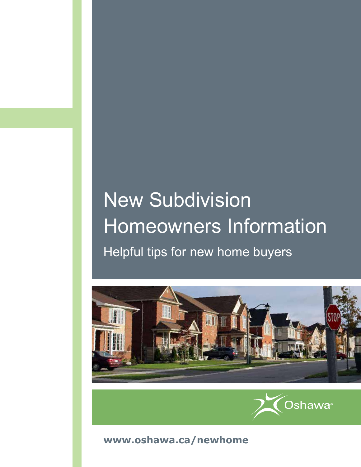# New Subdivision Homeowners Information Helpful tips for new home buyers





**[www.oshawa.ca/newhome](http://www.oshawa.ca/newhome)**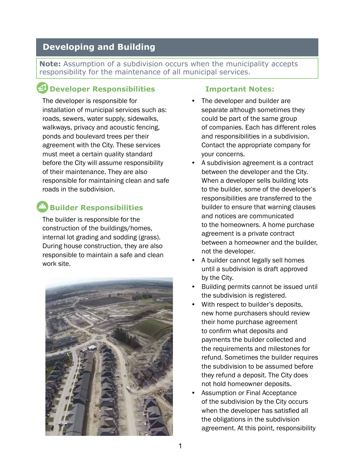## **Developing and Building**

**Note:** Assumption of a subdivision occurs when the municipality accepts responsibility for the maintenance of all municipal services.

# **Developer Responsibilities**

The developer is responsible for installation of municipal services such as: roads, sewers, water supply, sidewalks, walkways, privacy and acoustic fencing, ponds and boulevard trees per their agreement with the City. These services must meet a certain quality standard before the City will assume responsibility of their maintenance. They are also responsible for maintaining clean and safe roads in the subdivision.

# **Builder Responsibilities**

The builder is responsible for the construction of the buildings/homes, internal lot grading and sodding (grass). During house construction, they are also responsible to maintain a safe and clean work site.



#### **Important Notes:**

- The developer and builder are separate although sometimes they could be part of the same group of companies. Each has different roles and responsibilities in a subdivision. Contact the appropriate company for your concerns.
- A subdivision agreement is a contract between the developer and the City. When a developer sells building lots to the builder, some of the developer's responsibilities are transferred to the builder to ensure that warning clauses and notices are communicated to the homeowners. A home purchase agreement is a private contract between a homeowner and the builder, not the developer.
- A builder cannot legally sell homes until a subdivision is draft approved by the City.
- Building permits cannot be issued until the subdivision is registered.
- With respect to builder's deposits, new home purchasers should review their home purchase agreement to confirm what deposits and payments the builder collected and the requirements and milestones for refund. Sometimes the builder requires the subdivision to be assumed before they refund a deposit. The City does not hold homeowner deposits.
- Assumption or Final Acceptance of the subdivision by the City occurs when the developer has satisfied all the obligations in the subdivision agreement. At this point, responsibility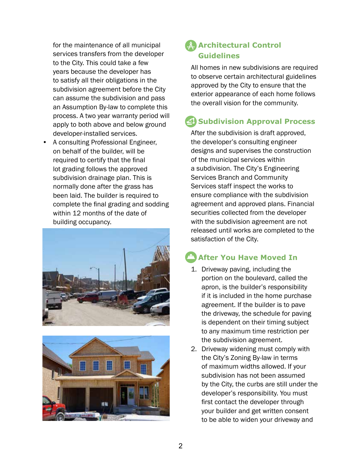for the maintenance of all municipal services transfers from the developer to the City. This could take a few years because the developer has to satisfy all their obligations in the subdivision agreement before the City can assume the subdivision and pass an Assumption By-law to complete this process. A two year warranty period will apply to both above and below ground developer-installed services.

• A consulting Professional Engineer, on behalf of the builder, will be required to certify that the final lot grading follows the approved subdivision drainage plan. This is normally done after the grass has been laid. The builder is required to complete the final grading and sodding within 12 months of the date of building occupancy.





## **Architectural Control Guidelines**

All homes in new subdivisions are required to observe certain architectural guidelines approved by the City to ensure that the exterior appearance of each home follows the overall vision for the community.

# **4 Subdivision Approval Process**

After the subdivision is draft approved, the developer's consulting engineer designs and supervises the construction of the municipal services within a subdivision. The City's Engineering Services Branch and Community Services staff inspect the works to ensure compliance with the subdivision agreement and approved plans. Financial securities collected from the developer with the subdivision agreement are not released until works are completed to the satisfaction of the City.

## **After You Have Moved In**

- 1. Driveway paving, including the portion on the boulevard, called the apron, is the builder's responsibility if it is included in the home purchase agreement. If the builder is to pave the driveway, the schedule for paving is dependent on their timing subject to any maximum time restriction per the subdivision agreement.
- 2. Driveway widening must comply with the City's Zoning By-law in terms of maximum widths allowed. If your subdivision has not been assumed by the City, the curbs are still under the developer's responsibility. You must first contact the developer through your builder and get written consent to be able to widen your driveway and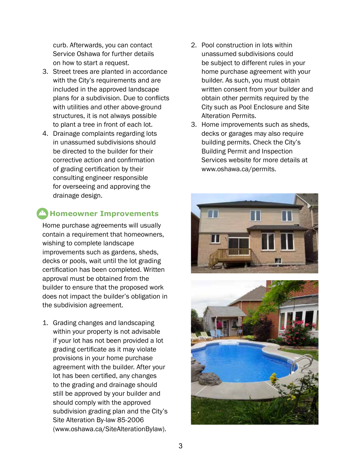curb. Afterwards, you can contact Service Oshawa for further details on how to start a request.

- 3. Street trees are planted in accordance with the City's requirements and are included in the approved landscape plans for a subdivision. Due to conflicts with utilities and other above-ground structures, it is not always possible to plant a tree in front of each lot.
- 4. Drainage complaints regarding lots in unassumed subdivisions should be directed to the builder for their corrective action and confirmation of grading certification by their consulting engineer responsible for overseeing and approving the drainage design.

# **Homeowner Improvements**

Home purchase agreements will usually contain a requirement that homeowners, wishing to complete landscape improvements such as gardens, sheds, decks or pools, wait until the lot grading certification has been completed. Written approval must be obtained from the builder to ensure that the proposed work does not impact the builder's obligation in the subdivision agreement.

1. Grading changes and landscaping within your property is not advisable if your lot has not been provided a lot grading certificate as it may violate provisions in your home purchase agreement with the builder. After your lot has been certified, any changes to the grading and drainage should still be approved by your builder and should comply with the approved subdivision grading plan and the City's Site Alteration By-law 85-2006 (www.oshawa.ca/SiteAlterationBylaw).

- 2. Pool construction in lots within unassumed subdivisions could be subject to different rules in your home purchase agreement with your builder. As such, you must obtain written consent from your builder and obtain other permits required by the City such as Pool Enclosure and Site Alteration Permits.
- 3. Home improvements such as sheds, decks or garages may also require building permits. Check the City's Building Permit and Inspection Services website for more details at www.oshawa.ca/permits.



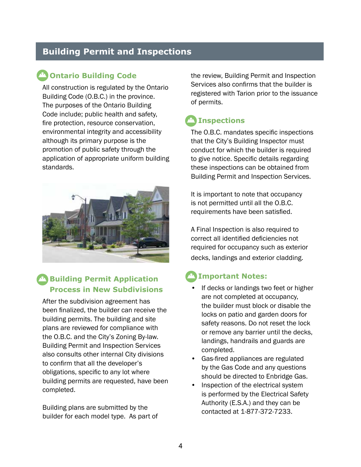## **Building Permit and Inspections**

## **Ontario Building Code**

All construction is regulated by the Ontario Building Code (O.B.C.) in the province. The purposes of the Ontario Building Code include; public health and safety, fire protection, resource conservation, environmental integrity and accessibility although its primary purpose is the promotion of public safety through the application of appropriate uniform building standards.



## **<sup>1</sup> Building Permit Application Process in New Subdivisions**

After the subdivision agreement has been finalized, the builder can receive the building permits. The building and site plans are reviewed for compliance with the O.B.C. and the City's Zoning By-law. Building Permit and Inspection Services also consults other internal City divisions to confirm that all the developer's obligations, specific to any lot where building permits are requested, have been completed.

Building plans are submitted by the builder for each model type. As part of the review, Building Permit and Inspection Services also confirms that the builder is registered with Tarion prior to the issuance of permits.

# **Inspections**

The O.B.C. mandates specific inspections that the City's Building Inspector must conduct for which the builder is required to give notice. Specific details regarding these inspections can be obtained from Building Permit and Inspection Services.

It is important to note that occupancy is not permitted until all the O.B.C. requirements have been satisfied.

A Final Inspection is also required to correct all identified deficiencies not required for occupancy such as exterior decks, landings and exterior cladding.

## **Important Notes:**

- • If decks or landings two feet or higher are not completed at occupancy, the builder must block or disable the locks on patio and garden doors for safety reasons. Do not reset the lock or remove any barrier until the decks, landings, handrails and guards are completed.
- $\bullet$ • Gas-fired appliances are regulated by the Gas Code and any questions should be directed to Enbridge Gas.
- Inspection of the electrical system is performed by the Electrical Safety Authority (E.S.A.) and they can be contacted at 1-877-372-7233.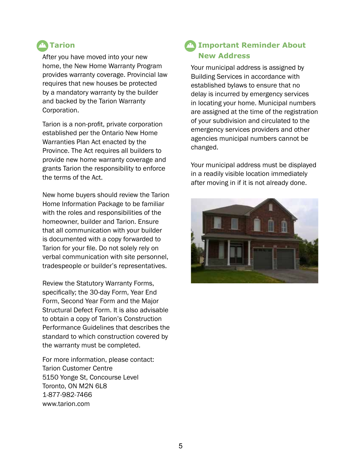# **M** Tarion

After you have moved into your new home, the New Home Warranty Program provides warranty coverage. Provincial law requires that new houses be protected by a mandatory warranty by the builder and backed by the Tarion Warranty Corporation.

Tarion is a non-profit, private corporation established per the Ontario New Home Warranties Plan Act enacted by the Province. The Act requires all builders to provide new home warranty coverage and grants Tarion the responsibility to enforce the terms of the Act.

New home buyers should review the Tarion Home Information Package to be familiar with the roles and responsibilities of the homeowner, builder and Tarion. Ensure that all communication with your builder is documented with a copy forwarded to Tarion for your file. Do not solely rely on verbal communication with site personnel, tradespeople or builder's representatives.

Review the Statutory Warranty Forms, specifically; the 30-day Form, Year End Form, Second Year Form and the Major Structural Defect Form. It is also advisable to obtain a copy of Tarion's Construction Performance Guidelines that describes the standard to which construction covered by the warranty must be completed.

For more information, please contact: Tarion Customer Centre 5150 Yonge St, Concourse Level Toronto, ON M2N 6L8 1-877-982-7466 www.tarion.com

## **Important Reminder About New Address**

Your municipal address is assigned by Building Services in accordance with established bylaws to ensure that no delay is incurred by emergency services in locating your home. Municipal numbers are assigned at the time of the registration of your subdivision and circulated to the emergency services providers and other agencies municipal numbers cannot be changed.

Your municipal address must be displayed in a readily visible location immediately after moving in if it is not already done.

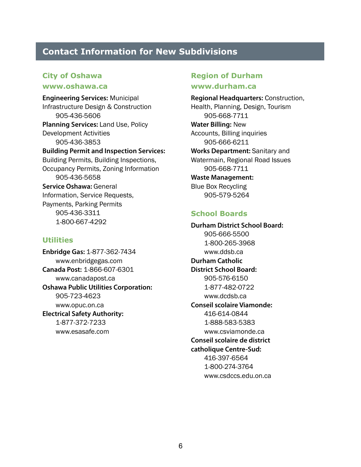## **Contact Information for New Subdivisions**

#### **City of Oshawa**

#### **www.oshawa.ca**

**Engineering Services:** Municipal Infrastructure Design & Construction 905-436-5606 **Planning Services:** Land Use, Policy Development Activities 905-436-3853 **Building Permit and Inspection Services:**  Building Permits, Building Inspections, Occupancy Permits, Zoning Information 905-436-5658 **Service Oshawa:** General Information, Service Requests, Payments, Parking Permits 905-436-3311 1-800-667-4292

#### **Utilities**

**Enbridge Gas:** 1-877-362-7434 www.enbridgegas.com **Canada Post:** 1-866-607-6301 www.canadapost.ca **Oshawa Public Utilities Corporation:**  905-723-4623 [www.opuc.on.ca](http://www.opuc.on.ca) **Electrical Safety Authority:**  1-877-372-7233 www.esasafe.com

## **Region of Durham**

#### **www.durham.ca**

**Regional Headquarters:** Construction, Health, Planning, Design, Tourism 905-668-7711 **Water Billing:** New Accounts, Billing inquiries 905-666-6211 **Works Department:** Sanitary and Watermain, Regional Road Issues 905-668-7711 **Waste Management:**  Blue Box Recycling 905**-**579-5264

#### **School Boards**

**Durham District School Board:**  905-666-5500 1-800-265-3968 www.ddsb.ca **Durham Catholic District School Board:**  905-576-6150 1-877-482-0722 www.dcdsb.ca **Conseil scolaire Viamonde:**  416-614-0844 1-888-583-5383 www.csviamonde.ca **Conseil scolaire de district catholique Centre-Sud:**  416-397-6564 1-800-274-3764 www.csdccs.edu.on.ca